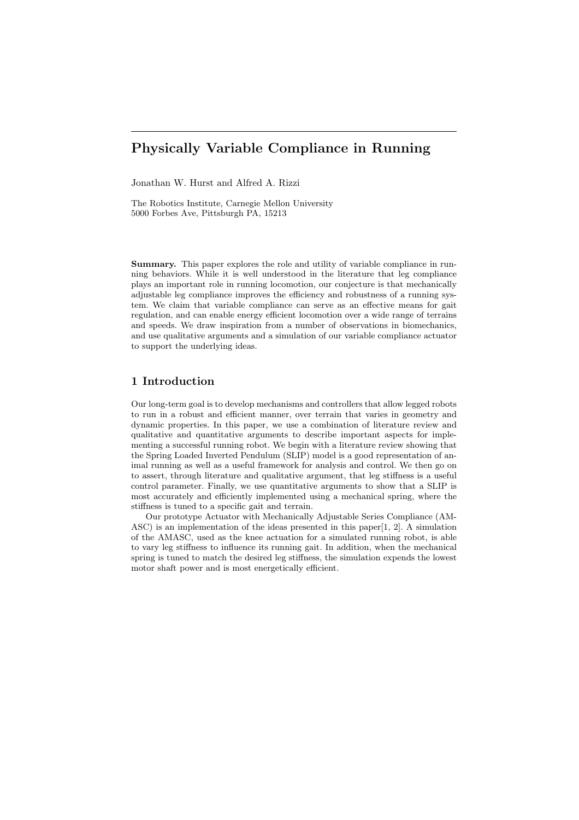# Physically Variable Compliance in Running

Jonathan W. Hurst and Alfred A. Rizzi

The Robotics Institute, Carnegie Mellon University 5000 Forbes Ave, Pittsburgh PA, 15213

Summary. This paper explores the role and utility of variable compliance in running behaviors. While it is well understood in the literature that leg compliance plays an important role in running locomotion, our conjecture is that mechanically adjustable leg compliance improves the efficiency and robustness of a running system. We claim that variable compliance can serve as an effective means for gait regulation, and can enable energy efficient locomotion over a wide range of terrains and speeds. We draw inspiration from a number of observations in biomechanics, and use qualitative arguments and a simulation of our variable compliance actuator to support the underlying ideas.

## 1 Introduction

Our long-term goal is to develop mechanisms and controllers that allow legged robots to run in a robust and efficient manner, over terrain that varies in geometry and dynamic properties. In this paper, we use a combination of literature review and qualitative and quantitative arguments to describe important aspects for implementing a successful running robot. We begin with a literature review showing that the Spring Loaded Inverted Pendulum (SLIP) model is a good representation of animal running as well as a useful framework for analysis and control. We then go on to assert, through literature and qualitative argument, that leg stiffness is a useful control parameter. Finally, we use quantitative arguments to show that a SLIP is most accurately and efficiently implemented using a mechanical spring, where the stiffness is tuned to a specific gait and terrain.

Our prototype Actuator with Mechanically Adjustable Series Compliance (AM-ASC) is an implementation of the ideas presented in this paper[1, 2]. A simulation of the AMASC, used as the knee actuation for a simulated running robot, is able to vary leg stiffness to influence its running gait. In addition, when the mechanical spring is tuned to match the desired leg stiffness, the simulation expends the lowest motor shaft power and is most energetically efficient.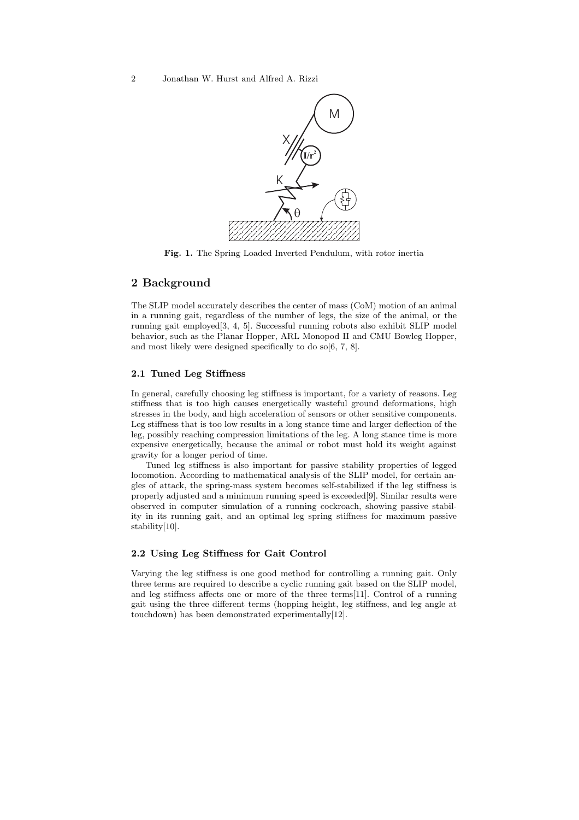

Fig. 1. The Spring Loaded Inverted Pendulum, with rotor inertia

## 2 Background

The SLIP model accurately describes the center of mass (CoM) motion of an animal in a running gait, regardless of the number of legs, the size of the animal, or the running gait employed[3, 4, 5]. Successful running robots also exhibit SLIP model behavior, such as the Planar Hopper, ARL Monopod II and CMU Bowleg Hopper, and most likely were designed specifically to do so[6, 7, 8].

#### 2.1 Tuned Leg Stiffness

In general, carefully choosing leg stiffness is important, for a variety of reasons. Leg stiffness that is too high causes energetically wasteful ground deformations, high stresses in the body, and high acceleration of sensors or other sensitive components. Leg stiffness that is too low results in a long stance time and larger deflection of the leg, possibly reaching compression limitations of the leg. A long stance time is more expensive energetically, because the animal or robot must hold its weight against gravity for a longer period of time.

Tuned leg stiffness is also important for passive stability properties of legged locomotion. According to mathematical analysis of the SLIP model, for certain angles of attack, the spring-mass system becomes self-stabilized if the leg stiffness is properly adjusted and a minimum running speed is exceeded[9]. Similar results were observed in computer simulation of a running cockroach, showing passive stability in its running gait, and an optimal leg spring stiffness for maximum passive stability[10].

## 2.2 Using Leg Stiffness for Gait Control

Varying the leg stiffness is one good method for controlling a running gait. Only three terms are required to describe a cyclic running gait based on the SLIP model, and leg stiffness affects one or more of the three terms[11]. Control of a running gait using the three different terms (hopping height, leg stiffness, and leg angle at touchdown) has been demonstrated experimentally[12].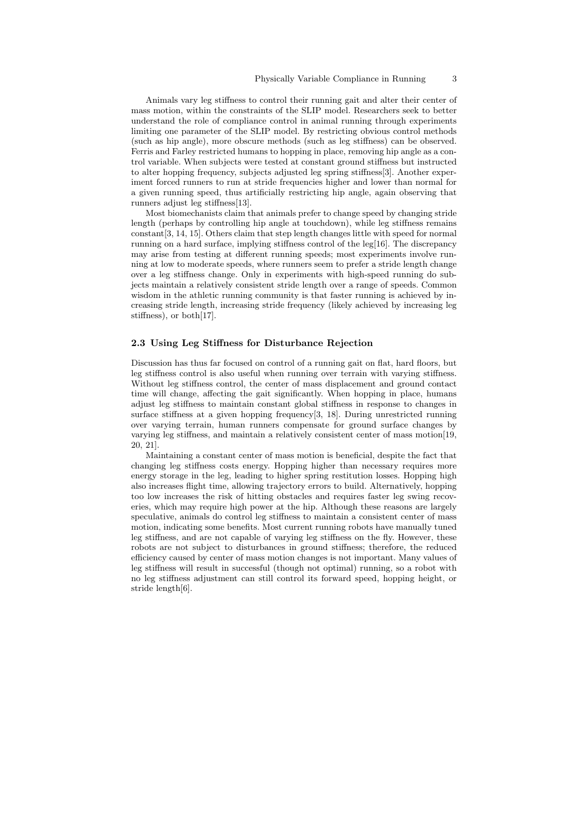Animals vary leg stiffness to control their running gait and alter their center of mass motion, within the constraints of the SLIP model. Researchers seek to better understand the role of compliance control in animal running through experiments limiting one parameter of the SLIP model. By restricting obvious control methods (such as hip angle), more obscure methods (such as leg stiffness) can be observed. Ferris and Farley restricted humans to hopping in place, removing hip angle as a control variable. When subjects were tested at constant ground stiffness but instructed to alter hopping frequency, subjects adjusted leg spring stiffness[3]. Another experiment forced runners to run at stride frequencies higher and lower than normal for a given running speed, thus artificially restricting hip angle, again observing that runners adjust leg stiffness[13].

Most biomechanists claim that animals prefer to change speed by changing stride length (perhaps by controlling hip angle at touchdown), while leg stiffness remains constant[3, 14, 15]. Others claim that step length changes little with speed for normal running on a hard surface, implying stiffness control of the leg[16]. The discrepancy may arise from testing at different running speeds; most experiments involve running at low to moderate speeds, where runners seem to prefer a stride length change over a leg stiffness change. Only in experiments with high-speed running do subjects maintain a relatively consistent stride length over a range of speeds. Common wisdom in the athletic running community is that faster running is achieved by increasing stride length, increasing stride frequency (likely achieved by increasing leg stiffness), or both[17].

### 2.3 Using Leg Stiffness for Disturbance Rejection

Discussion has thus far focused on control of a running gait on flat, hard floors, but leg stiffness control is also useful when running over terrain with varying stiffness. Without leg stiffness control, the center of mass displacement and ground contact time will change, affecting the gait significantly. When hopping in place, humans adjust leg stiffness to maintain constant global stiffness in response to changes in surface stiffness at a given hopping frequency[3, 18]. During unrestricted running over varying terrain, human runners compensate for ground surface changes by varying leg stiffness, and maintain a relatively consistent center of mass motion[19, 20, 21].

Maintaining a constant center of mass motion is beneficial, despite the fact that changing leg stiffness costs energy. Hopping higher than necessary requires more energy storage in the leg, leading to higher spring restitution losses. Hopping high also increases flight time, allowing trajectory errors to build. Alternatively, hopping too low increases the risk of hitting obstacles and requires faster leg swing recoveries, which may require high power at the hip. Although these reasons are largely speculative, animals do control leg stiffness to maintain a consistent center of mass motion, indicating some benefits. Most current running robots have manually tuned leg stiffness, and are not capable of varying leg stiffness on the fly. However, these robots are not subject to disturbances in ground stiffness; therefore, the reduced efficiency caused by center of mass motion changes is not important. Many values of leg stiffness will result in successful (though not optimal) running, so a robot with no leg stiffness adjustment can still control its forward speed, hopping height, or stride length[6].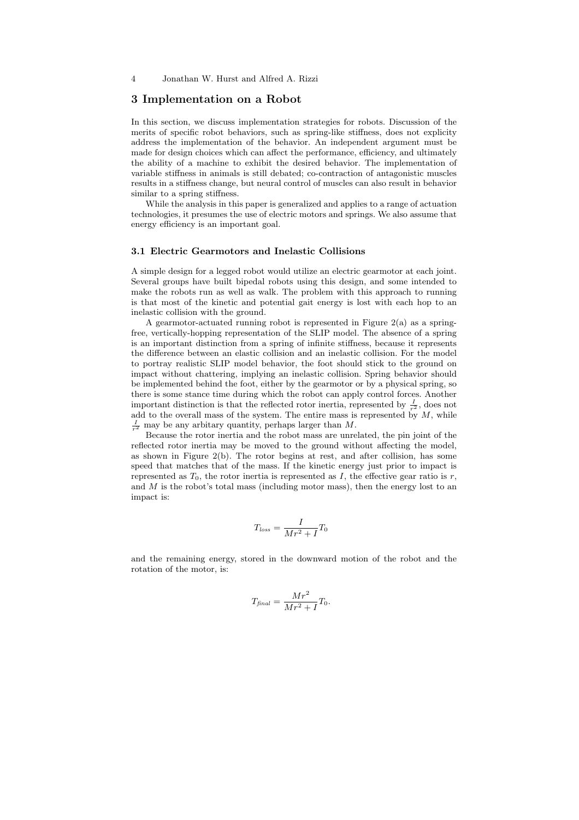4 Jonathan W. Hurst and Alfred A. Rizzi

## 3 Implementation on a Robot

In this section, we discuss implementation strategies for robots. Discussion of the merits of specific robot behaviors, such as spring-like stiffness, does not explicity address the implementation of the behavior. An independent argument must be made for design choices which can affect the performance, efficiency, and ultimately the ability of a machine to exhibit the desired behavior. The implementation of variable stiffness in animals is still debated; co-contraction of antagonistic muscles results in a stiffness change, but neural control of muscles can also result in behavior similar to a spring stiffness.

While the analysis in this paper is generalized and applies to a range of actuation technologies, it presumes the use of electric motors and springs. We also assume that energy efficiency is an important goal.

### 3.1 Electric Gearmotors and Inelastic Collisions

A simple design for a legged robot would utilize an electric gearmotor at each joint. Several groups have built bipedal robots using this design, and some intended to make the robots run as well as walk. The problem with this approach to running is that most of the kinetic and potential gait energy is lost with each hop to an inelastic collision with the ground.

A gearmotor-actuated running robot is represented in Figure  $2(a)$  as a springfree, vertically-hopping representation of the SLIP model. The absence of a spring is an important distinction from a spring of infinite stiffness, because it represents the difference between an elastic collision and an inelastic collision. For the model to portray realistic SLIP model behavior, the foot should stick to the ground on impact without chattering, implying an inelastic collision. Spring behavior should be implemented behind the foot, either by the gearmotor or by a physical spring, so there is some stance time during which the robot can apply control forces. Another important distinction is that the reflected rotor inertia, represented by  $\frac{I}{r^2}$ , does not add to the overall mass of the system. The entire mass is represented by  $M$ , while  $\frac{I}{r^2}$  may be any arbitary quantity, perhaps larger than M.

Because the rotor inertia and the robot mass are unrelated, the pin joint of the reflected rotor inertia may be moved to the ground without affecting the model, as shown in Figure  $2(b)$ . The rotor begins at rest, and after collision, has some speed that matches that of the mass. If the kinetic energy just prior to impact is represented as  $T_0$ , the rotor inertia is represented as I, the effective gear ratio is r, and  $M$  is the robot's total mass (including motor mass), then the energy lost to an impact is:

$$
T_{loss} = \frac{I}{Mr^2 + I}T_0
$$

and the remaining energy, stored in the downward motion of the robot and the rotation of the motor, is:

$$
T_{final} = \frac{Mr^2}{Mr^2 + I}T_0.
$$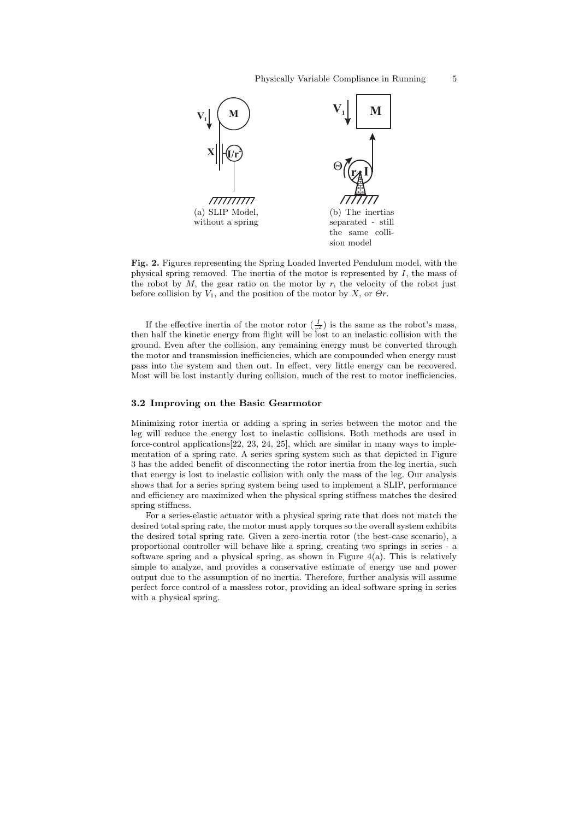

Fig. 2. Figures representing the Spring Loaded Inverted Pendulum model, with the physical spring removed. The inertia of the motor is represented by  $I$ , the mass of the robot by  $M$ , the gear ratio on the motor by  $r$ , the velocity of the robot just before collision by  $V_1$ , and the position of the motor by X, or  $\Theta r$ .

If the effective inertia of the motor rotor  $(\frac{I}{r^2})$  is the same as the robot's mass, then half the kinetic energy from flight will be lost to an inelastic collision with the ground. Even after the collision, any remaining energy must be converted through the motor and transmission inefficiencies, which are compounded when energy must pass into the system and then out. In effect, very little energy can be recovered. Most will be lost instantly during collision, much of the rest to motor inefficiencies.

#### 3.2 Improving on the Basic Gearmotor

Minimizing rotor inertia or adding a spring in series between the motor and the leg will reduce the energy lost to inelastic collisions. Both methods are used in force-control applications[22, 23, 24, 25], which are similar in many ways to implementation of a spring rate. A series spring system such as that depicted in Figure 3 has the added benefit of disconnecting the rotor inertia from the leg inertia, such that energy is lost to inelastic collision with only the mass of the leg. Our analysis shows that for a series spring system being used to implement a SLIP, performance and efficiency are maximized when the physical spring stiffness matches the desired spring stiffness.

For a series-elastic actuator with a physical spring rate that does not match the desired total spring rate, the motor must apply torques so the overall system exhibits the desired total spring rate. Given a zero-inertia rotor (the best-case scenario), a proportional controller will behave like a spring, creating two springs in series - a software spring and a physical spring, as shown in Figure  $4(a)$ . This is relatively simple to analyze, and provides a conservative estimate of energy use and power output due to the assumption of no inertia. Therefore, further analysis will assume perfect force control of a massless rotor, providing an ideal software spring in series with a physical spring.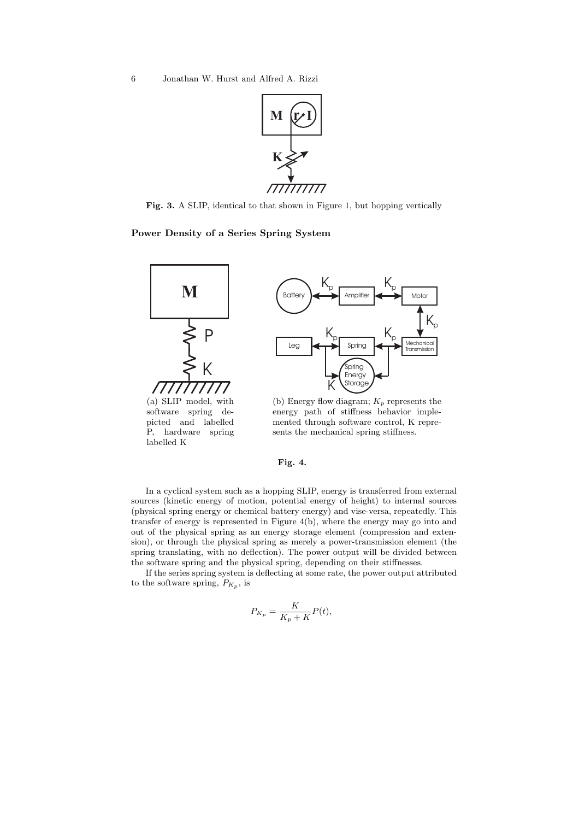

Fig. 3. A SLIP, identical to that shown in Figure 1, but hopping vertically

## Power Density of a Series Spring System



Fig. 4.

In a cyclical system such as a hopping SLIP, energy is transferred from external sources (kinetic energy of motion, potential energy of height) to internal sources (physical spring energy or chemical battery energy) and vise-versa, repeatedly. This transfer of energy is represented in Figure 4(b), where the energy may go into and out of the physical spring as an energy storage element (compression and extension), or through the physical spring as merely a power-transmission element (the spring translating, with no deflection). The power output will be divided between the software spring and the physical spring, depending on their stiffnesses.

If the series spring system is deflecting at some rate, the power output attributed to the software spring,  $P_{K_p}$ , is

$$
P_{K_p} = \frac{K}{K_p + K} P(t),
$$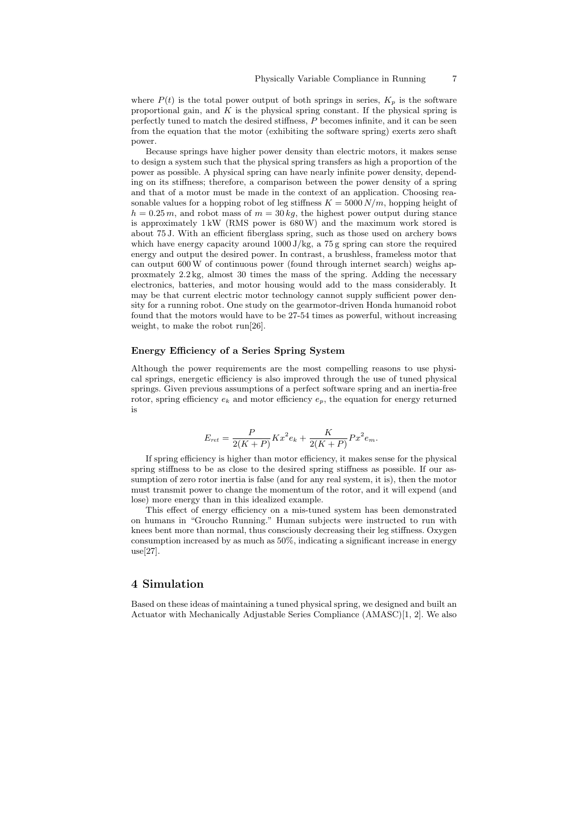where  $P(t)$  is the total power output of both springs in series,  $K_p$  is the software proportional gain, and  $K$  is the physical spring constant. If the physical spring is perfectly tuned to match the desired stiffness, P becomes infinite, and it can be seen from the equation that the motor (exhibiting the software spring) exerts zero shaft power.

Because springs have higher power density than electric motors, it makes sense to design a system such that the physical spring transfers as high a proportion of the power as possible. A physical spring can have nearly infinite power density, depending on its stiffness; therefore, a comparison between the power density of a spring and that of a motor must be made in the context of an application. Choosing reasonable values for a hopping robot of leg stiffness  $K = 5000 N/m$ , hopping height of  $h = 0.25 m$ , and robot mass of  $m = 30 kg$ , the highest power output during stance is approximately 1 kW (RMS power is 680W) and the maximum work stored is about 75 J. With an efficient fiberglass spring, such as those used on archery bows which have energy capacity around  $1000 \text{ J/kg}$ , a  $75 \text{ g}$  spring can store the required energy and output the desired power. In contrast, a brushless, frameless motor that can output 600W of continuous power (found through internet search) weighs approxmately 2.2 kg, almost 30 times the mass of the spring. Adding the necessary electronics, batteries, and motor housing would add to the mass considerably. It may be that current electric motor technology cannot supply sufficient power density for a running robot. One study on the gearmotor-driven Honda humanoid robot found that the motors would have to be 27-54 times as powerful, without increasing weight, to make the robot run[26].

## Energy Efficiency of a Series Spring System

Although the power requirements are the most compelling reasons to use physical springs, energetic efficiency is also improved through the use of tuned physical springs. Given previous assumptions of a perfect software spring and an inertia-free rotor, spring efficiency  $e_k$  and motor efficiency  $e_p$ , the equation for energy returned is

$$
E_{ret} = \frac{P}{2(K+P)} K x^2 e_k + \frac{K}{2(K+P)} P x^2 e_m.
$$

If spring efficiency is higher than motor efficiency, it makes sense for the physical spring stiffness to be as close to the desired spring stiffness as possible. If our assumption of zero rotor inertia is false (and for any real system, it is), then the motor must transmit power to change the momentum of the rotor, and it will expend (and lose) more energy than in this idealized example.

This effect of energy efficiency on a mis-tuned system has been demonstrated on humans in "Groucho Running." Human subjects were instructed to run with knees bent more than normal, thus consciously decreasing their leg stiffness. Oxygen consumption increased by as much as 50%, indicating a significant increase in energy use[27].

## 4 Simulation

Based on these ideas of maintaining a tuned physical spring, we designed and built an Actuator with Mechanically Adjustable Series Compliance (AMASC)[1, 2]. We also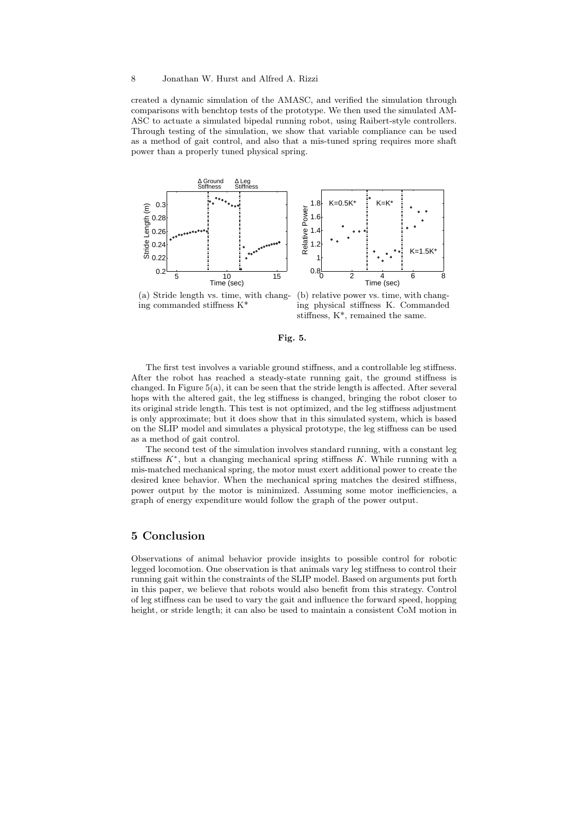created a dynamic simulation of the AMASC, and verified the simulation through comparisons with benchtop tests of the prototype. We then used the simulated AM-ASC to actuate a simulated bipedal running robot, using Raibert-style controllers. Through testing of the simulation, we show that variable compliance can be used as a method of gait control, and also that a mis-tuned spring requires more shaft power than a properly tuned physical spring.



(a) Stride length vs. time, with changing commanded stiffness K\*

(b) relative power vs. time, with changing physical stiffness K. Commanded stiffness, K\*, remained the same.

#### Fig. 5.

The first test involves a variable ground stiffness, and a controllable leg stiffness. After the robot has reached a steady-state running gait, the ground stiffness is changed. In Figure 5(a), it can be seen that the stride length is affected. After several hops with the altered gait, the leg stiffness is changed, bringing the robot closer to its original stride length. This test is not optimized, and the leg stiffness adjustment is only approximate; but it does show that in this simulated system, which is based on the SLIP model and simulates a physical prototype, the leg stiffness can be used as a method of gait control.

The second test of the simulation involves standard running, with a constant leg stiffness  $K^*$ , but a changing mechanical spring stiffness K. While running with a mis-matched mechanical spring, the motor must exert additional power to create the desired knee behavior. When the mechanical spring matches the desired stiffness, power output by the motor is minimized. Assuming some motor inefficiencies, a graph of energy expenditure would follow the graph of the power output.

## 5 Conclusion

Observations of animal behavior provide insights to possible control for robotic legged locomotion. One observation is that animals vary leg stiffness to control their running gait within the constraints of the SLIP model. Based on arguments put forth in this paper, we believe that robots would also benefit from this strategy. Control of leg stiffness can be used to vary the gait and influence the forward speed, hopping height, or stride length; it can also be used to maintain a consistent CoM motion in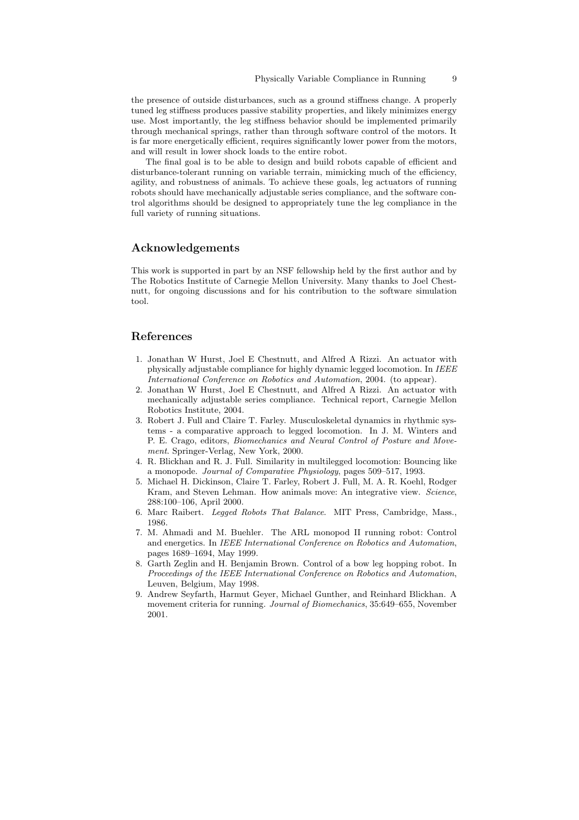the presence of outside disturbances, such as a ground stiffness change. A properly tuned leg stiffness produces passive stability properties, and likely minimizes energy use. Most importantly, the leg stiffness behavior should be implemented primarily through mechanical springs, rather than through software control of the motors. It is far more energetically efficient, requires significantly lower power from the motors, and will result in lower shock loads to the entire robot.

The final goal is to be able to design and build robots capable of efficient and disturbance-tolerant running on variable terrain, mimicking much of the efficiency, agility, and robustness of animals. To achieve these goals, leg actuators of running robots should have mechanically adjustable series compliance, and the software control algorithms should be designed to appropriately tune the leg compliance in the full variety of running situations.

## Acknowledgements

This work is supported in part by an NSF fellowship held by the first author and by The Robotics Institute of Carnegie Mellon University. Many thanks to Joel Chestnutt, for ongoing discussions and for his contribution to the software simulation tool.

## References

- 1. Jonathan W Hurst, Joel E Chestnutt, and Alfred A Rizzi. An actuator with physically adjustable compliance for highly dynamic legged locomotion. In IEEE International Conference on Robotics and Automation, 2004. (to appear).
- 2. Jonathan W Hurst, Joel E Chestnutt, and Alfred A Rizzi. An actuator with mechanically adjustable series compliance. Technical report, Carnegie Mellon Robotics Institute, 2004.
- 3. Robert J. Full and Claire T. Farley. Musculoskeletal dynamics in rhythmic systems - a comparative approach to legged locomotion. In J. M. Winters and P. E. Crago, editors, Biomechanics and Neural Control of Posture and Movement. Springer-Verlag, New York, 2000.
- 4. R. Blickhan and R. J. Full. Similarity in multilegged locomotion: Bouncing like a monopode. Journal of Comparative Physiology, pages 509–517, 1993.
- 5. Michael H. Dickinson, Claire T. Farley, Robert J. Full, M. A. R. Koehl, Rodger Kram, and Steven Lehman. How animals move: An integrative view. Science, 288:100–106, April 2000.
- 6. Marc Raibert. Legged Robots That Balance. MIT Press, Cambridge, Mass., 1986.
- 7. M. Ahmadi and M. Buehler. The ARL monopod II running robot: Control and energetics. In IEEE International Conference on Robotics and Automation, pages 1689–1694, May 1999.
- 8. Garth Zeglin and H. Benjamin Brown. Control of a bow leg hopping robot. In Proceedings of the IEEE International Conference on Robotics and Automation, Leuven, Belgium, May 1998.
- 9. Andrew Seyfarth, Harmut Geyer, Michael Gunther, and Reinhard Blickhan. A movement criteria for running. Journal of Biomechanics, 35:649–655, November 2001.